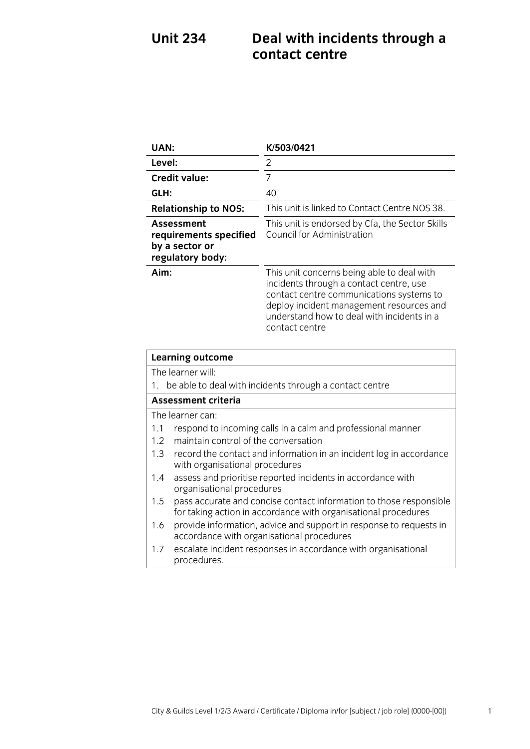# **Unit 234 Deal with incidents through a contact centre**

| <b>UAN:</b>                                                                            |                                                                                                                                      | K/503/0421                                                                                                                                                                                                                                    |
|----------------------------------------------------------------------------------------|--------------------------------------------------------------------------------------------------------------------------------------|-----------------------------------------------------------------------------------------------------------------------------------------------------------------------------------------------------------------------------------------------|
| Level:                                                                                 |                                                                                                                                      | 2                                                                                                                                                                                                                                             |
|                                                                                        | <b>Credit value:</b>                                                                                                                 | $\overline{7}$                                                                                                                                                                                                                                |
| GLH:                                                                                   |                                                                                                                                      | 40                                                                                                                                                                                                                                            |
|                                                                                        | <b>Relationship to NOS:</b>                                                                                                          | This unit is linked to Contact Centre NOS 38.                                                                                                                                                                                                 |
|                                                                                        | <b>Assessment</b><br>requirements specified<br>by a sector or<br>regulatory body:                                                    | This unit is endorsed by Cfa, the Sector Skills<br>Council for Administration                                                                                                                                                                 |
| Aim:                                                                                   |                                                                                                                                      | This unit concerns being able to deal with<br>incidents through a contact centre, use<br>contact centre communications systems to<br>deploy incident management resources and<br>understand how to deal with incidents in a<br>contact centre |
| <b>Learning outcome</b>                                                                |                                                                                                                                      |                                                                                                                                                                                                                                               |
| The learner will:                                                                      |                                                                                                                                      |                                                                                                                                                                                                                                               |
| be able to deal with incidents through a contact centre<br>1.                          |                                                                                                                                      |                                                                                                                                                                                                                                               |
| <b>Assessment criteria</b>                                                             |                                                                                                                                      |                                                                                                                                                                                                                                               |
| The learner can:<br>1.1<br>respond to incoming calls in a calm and professional manner |                                                                                                                                      |                                                                                                                                                                                                                                               |
| 1.2                                                                                    | maintain control of the conversation                                                                                                 |                                                                                                                                                                                                                                               |
| 1.3                                                                                    | record the contact and information in an incident log in accordance<br>with organisational procedures                                |                                                                                                                                                                                                                                               |
| 1.4                                                                                    | assess and prioritise reported incidents in accordance with<br>organisational procedures                                             |                                                                                                                                                                                                                                               |
| 1.5                                                                                    | pass accurate and concise contact information to those responsible<br>for taking action in accordance with organisational procedures |                                                                                                                                                                                                                                               |
| 1.6                                                                                    | provide information, advice and support in response to requests in<br>accordance with organisational procedures                      |                                                                                                                                                                                                                                               |
| 1.7                                                                                    | escalate incident responses in accordance with organisational<br>procedures.                                                         |                                                                                                                                                                                                                                               |